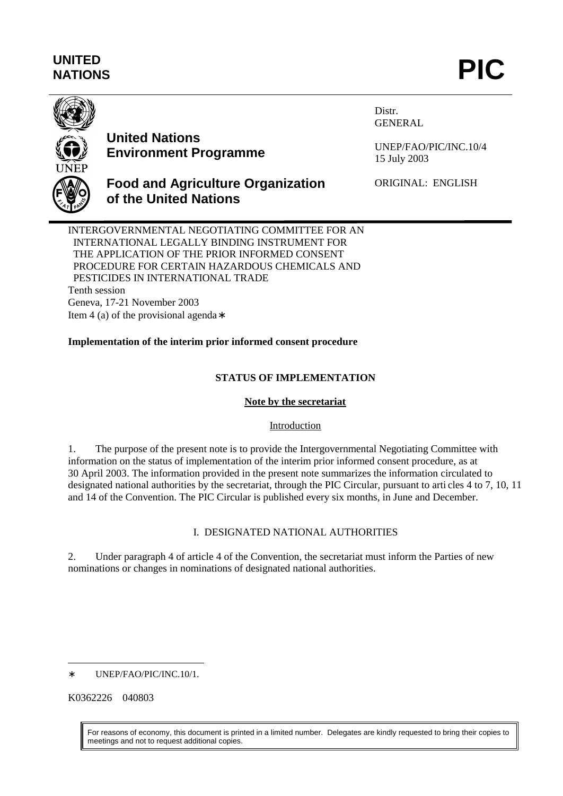# **UNITED** UNITED<br>NATIONS **PIC**



## **United Nations Environment Programme**

Distr. GENERAL

UNEP/FAO/PIC/INC.10/4 15 July 2003

## **Food and Agriculture Organization of the United Nations**

ORIGINAL: ENGLISH

INTERGOVERNMENTAL NEGOTIATING COMMITTEE FOR AN INTERNATIONAL LEGALLY BINDING INSTRUMENT FOR THE APPLICATION OF THE PRIOR INFORMED CONSENT PROCEDURE FOR CERTAIN HAZARDOUS CHEMICALS AND PESTICIDES IN INTERNATIONAL TRADE Tenth session Geneva, 17-21 November 2003 Item 4 (a) of the provisional agenda∗

## **Implementation of the interim prior informed consent procedure**

### **STATUS OF IMPLEMENTATION**

#### **Note by the secretariat**

#### Introduction

1. The purpose of the present note is to provide the Intergovernmental Negotiating Committee with information on the status of implementation of the interim prior informed consent procedure, as at 30 April 2003. The information provided in the present note summarizes the information circulated to designated national authorities by the secretariat, through the PIC Circular, pursuant to arti cles 4 to 7, 10, 11 and 14 of the Convention. The PIC Circular is published every six months, in June and December.

#### I. DESIGNATED NATIONAL AUTHORITIES

2. Under paragraph 4 of article 4 of the Convention, the secretariat must inform the Parties of new nominations or changes in nominations of designated national authorities.

K0362226 040803

For reasons of economy, this document is printed in a limited number. Delegates are kindly requested to bring their copies to meetings and not to request additional copies.

 $\overline{a}$ ∗ UNEP/FAO/PIC/INC.10/1.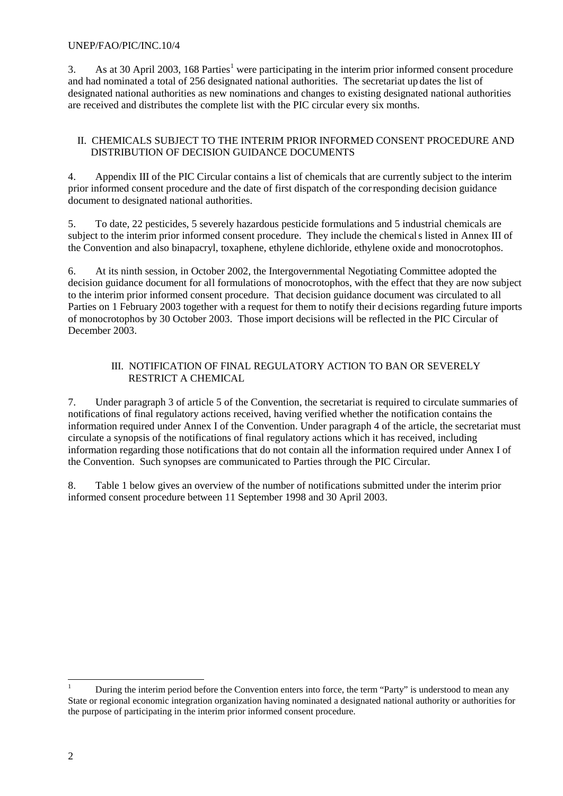#### UNEP/FAO/PIC/INC.10/4

3. As at 30 April 2003, 168 Parties<sup>1</sup> were participating in the interim prior informed consent procedure and had nominated a total of 256 designated national authorities. The secretariat up dates the list of designated national authorities as new nominations and changes to existing designated national authorities are received and distributes the complete list with the PIC circular every six months.

#### II. CHEMICALS SUBJECT TO THE INTERIM PRIOR INFORMED CONSENT PROCEDURE AND DISTRIBUTION OF DECISION GUIDANCE DOCUMENTS

4. Appendix III of the PIC Circular contains a list of chemicals that are currently subject to the interim prior informed consent procedure and the date of first dispatch of the corresponding decision guidance document to designated national authorities.

5. To date, 22 pesticides, 5 severely hazardous pesticide formulations and 5 industrial chemicals are subject to the interim prior informed consent procedure. They include the chemicals listed in Annex III of the Convention and also binapacryl, toxaphene, ethylene dichloride, ethylene oxide and monocrotophos.

6. At its ninth session, in October 2002, the Intergovernmental Negotiating Committee adopted the decision guidance document for all formulations of monocrotophos, with the effect that they are now subject to the interim prior informed consent procedure. That decision guidance document was circulated to all Parties on 1 February 2003 together with a request for them to notify their decisions regarding future imports of monocrotophos by 30 October 2003. Those import decisions will be reflected in the PIC Circular of December 2003.

#### III. NOTIFICATION OF FINAL REGULATORY ACTION TO BAN OR SEVERELY RESTRICT A CHEMICAL

7. Under paragraph 3 of article 5 of the Convention, the secretariat is required to circulate summaries of notifications of final regulatory actions received, having verified whether the notification contains the information required under Annex I of the Convention. Under paragraph 4 of the article, the secretariat must circulate a synopsis of the notifications of final regulatory actions which it has received, including information regarding those notifications that do not contain all the information required under Annex I of the Convention. Such synopses are communicated to Parties through the PIC Circular.

8. Table 1 below gives an overview of the number of notifications submitted under the interim prior informed consent procedure between 11 September 1998 and 30 April 2003.

 $\overline{a}$ 

<sup>1</sup> During the interim period before the Convention enters into force, the term "Party" is understood to mean any State or regional economic integration organization having nominated a designated national authority or authorities for the purpose of participating in the interim prior informed consent procedure.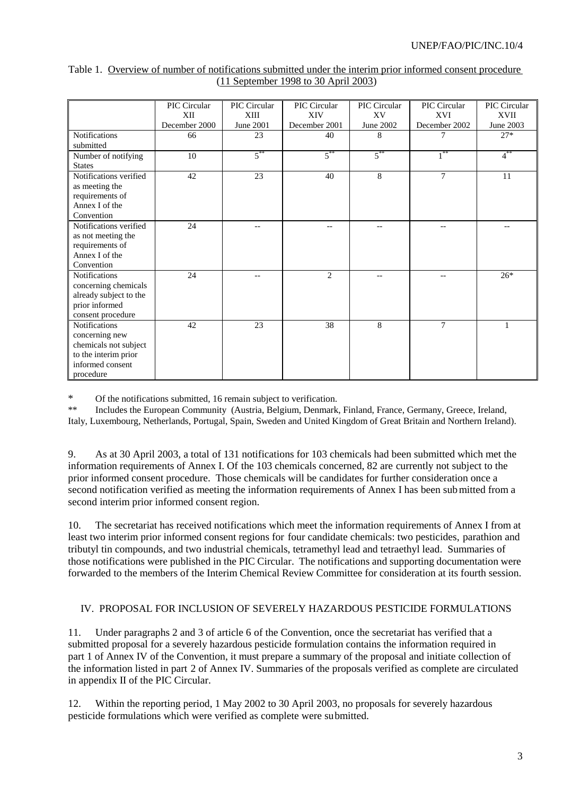|                              | PIC Circular  | PIC Circular | PIC Circular   | PIC Circular | PIC Circular      | PIC Circular |
|------------------------------|---------------|--------------|----------------|--------------|-------------------|--------------|
|                              | XII           | XIII         | <b>XIV</b>     | XV           | XVI               | XVII         |
|                              | December 2000 | June 2001    | December 2001  | June 2002    | December 2002     | June 2003    |
| <b>Notifications</b>         | 66            | 23           | 40             | 8            |                   | $27*$        |
| submitted                    |               |              |                |              |                   |              |
| Number of notifying          | 10            | $5^{**}$     | $5^{**}$       | $5***$       | $1$ <sup>**</sup> | $4^{**}$     |
| <b>States</b>                |               |              |                |              |                   |              |
| Notifications verified       | 42            | 23           | 40             | 8            | $\overline{7}$    | 11           |
| as meeting the               |               |              |                |              |                   |              |
| requirements of              |               |              |                |              |                   |              |
| Annex I of the               |               |              |                |              |                   |              |
| Convention                   |               |              |                |              |                   |              |
| Notifications verified       | 24            |              |                |              |                   |              |
| as not meeting the           |               |              |                |              |                   |              |
| requirements of              |               |              |                |              |                   |              |
| Annex I of the<br>Convention |               |              |                |              |                   |              |
| <b>Notifications</b>         |               |              | $\overline{c}$ |              |                   | $26*$        |
| concerning chemicals         | 24            |              |                |              |                   |              |
| already subject to the       |               |              |                |              |                   |              |
| prior informed               |               |              |                |              |                   |              |
| consent procedure            |               |              |                |              |                   |              |
| <b>Notifications</b>         | 42            | 23           | 38             | 8            | $\overline{7}$    |              |
| concerning new               |               |              |                |              |                   |              |
| chemicals not subject        |               |              |                |              |                   |              |
| to the interim prior         |               |              |                |              |                   |              |
| informed consent             |               |              |                |              |                   |              |
| procedure                    |               |              |                |              |                   |              |

Table 1. Overview of number of notifications submitted under the interim prior informed consent procedure (11 September 1998 to 30 April 2003)

\* Of the notifications submitted, 16 remain subject to verification.

Includes the European Community (Austria, Belgium, Denmark, Finland, France, Germany, Greece, Ireland, Italy, Luxembourg, Netherlands, Portugal, Spain, Sweden and United Kingdom of Great Britain and Northern Ireland).

9. As at 30 April 2003, a total of 131 notifications for 103 chemicals had been submitted which met the information requirements of Annex I. Of the 103 chemicals concerned, 82 are currently not subject to the prior informed consent procedure. Those chemicals will be candidates for further consideration once a second notification verified as meeting the information requirements of Annex I has been submitted from a second interim prior informed consent region.

10. The secretariat has received notifications which meet the information requirements of Annex I from at least two interim prior informed consent regions for four candidate chemicals: two pesticides, parathion and tributyl tin compounds, and two industrial chemicals, tetramethyl lead and tetraethyl lead. Summaries of those notifications were published in the PIC Circular. The notifications and supporting documentation were forwarded to the members of the Interim Chemical Review Committee for consideration at its fourth session.

#### IV. PROPOSAL FOR INCLUSION OF SEVERELY HAZARDOUS PESTICIDE FORMULATIONS

11. Under paragraphs 2 and 3 of article 6 of the Convention, once the secretariat has verified that a submitted proposal for a severely hazardous pesticide formulation contains the information required in part 1 of Annex IV of the Convention, it must prepare a summary of the proposal and initiate collection of the information listed in part 2 of Annex IV. Summaries of the proposals verified as complete are circulated in appendix II of the PIC Circular.

12. Within the reporting period, 1 May 2002 to 30 April 2003, no proposals for severely hazardous pesticide formulations which were verified as complete were submitted.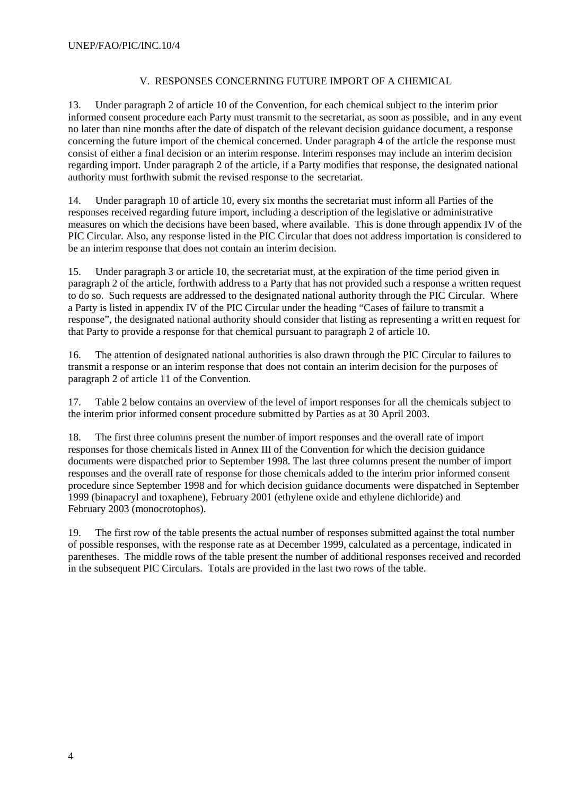### V. RESPONSES CONCERNING FUTURE IMPORT OF A CHEMICAL

13. Under paragraph 2 of article 10 of the Convention, for each chemical subject to the interim prior informed consent procedure each Party must transmit to the secretariat, as soon as possible, and in any event no later than nine months after the date of dispatch of the relevant decision guidance document, a response concerning the future import of the chemical concerned. Under paragraph 4 of the article the response must consist of either a final decision or an interim response. Interim responses may include an interim decision regarding import. Under paragraph 2 of the article, if a Party modifies that response, the designated national authority must forthwith submit the revised response to the secretariat.

14. Under paragraph 10 of article 10, every six months the secretariat must inform all Parties of the responses received regarding future import, including a description of the legislative or administrative measures on which the decisions have been based, where available. This is done through appendix IV of the PIC Circular. Also, any response listed in the PIC Circular that does not address importation is considered to be an interim response that does not contain an interim decision.

15. Under paragraph 3 or article 10, the secretariat must, at the expiration of the time period given in paragraph 2 of the article, forthwith address to a Party that has not provided such a response a written request to do so. Such requests are addressed to the designated national authority through the PIC Circular. Where a Party is listed in appendix IV of the PIC Circular under the heading "Cases of failure to transmit a response", the designated national authority should consider that listing as representing a writt en request for that Party to provide a response for that chemical pursuant to paragraph 2 of article 10.

16. The attention of designated national authorities is also drawn through the PIC Circular to failures to transmit a response or an interim response that does not contain an interim decision for the purposes of paragraph 2 of article 11 of the Convention.

17. Table 2 below contains an overview of the level of import responses for all the chemicals subject to the interim prior informed consent procedure submitted by Parties as at 30 April 2003.

18. The first three columns present the number of import responses and the overall rate of import responses for those chemicals listed in Annex III of the Convention for which the decision guidance documents were dispatched prior to September 1998. The last three columns present the number of import responses and the overall rate of response for those chemicals added to the interim prior informed consent procedure since September 1998 and for which decision guidance documents were dispatched in September 1999 (binapacryl and toxaphene), February 2001 (ethylene oxide and ethylene dichloride) and February 2003 (monocrotophos).

19. The first row of the table presents the actual number of responses submitted against the total number of possible responses, with the response rate as at December 1999, calculated as a percentage, indicated in parentheses. The middle rows of the table present the number of additional responses received and recorded in the subsequent PIC Circulars. Totals are provided in the last two rows of the table.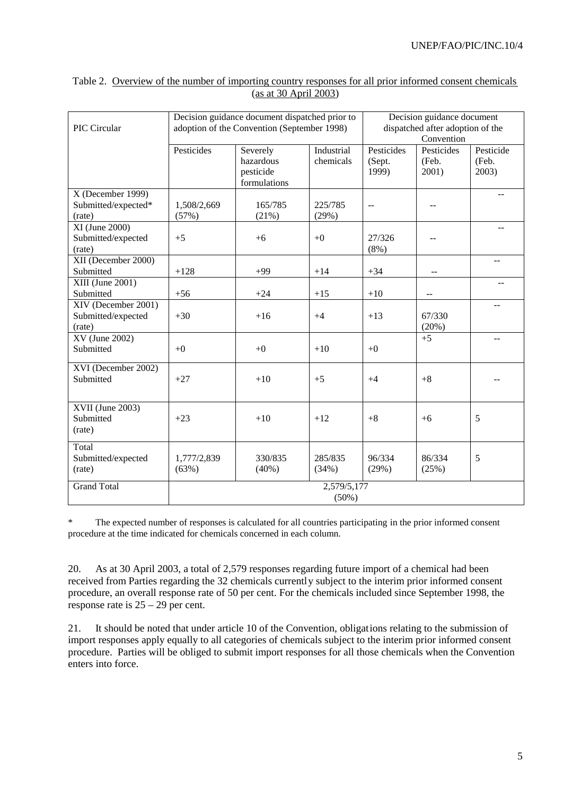|                                      |             | Decision guidance document dispatched prior to |                                  | Decision guidance document |                          |                |  |
|--------------------------------------|-------------|------------------------------------------------|----------------------------------|----------------------------|--------------------------|----------------|--|
| PIC Circular                         |             | adoption of the Convention (September 1998)    | dispatched after adoption of the |                            |                          |                |  |
|                                      |             |                                                | Convention                       |                            |                          |                |  |
|                                      | Pesticides  | Severely                                       | Industrial                       | Pesticides                 | Pesticides               | Pesticide      |  |
|                                      |             | hazardous                                      | chemicals                        | (Sept.                     | (Feb.                    | (Feb.          |  |
|                                      |             | pesticide                                      |                                  | 1999)                      | 2001)                    | 2003)          |  |
|                                      |             | formulations                                   |                                  |                            |                          |                |  |
| X (December 1999)                    |             |                                                |                                  |                            |                          |                |  |
| Submitted/expected*                  | 1,508/2,669 | 165/785                                        | 225/785                          |                            |                          |                |  |
| (rate)                               | (57%)       | (21%)                                          | (29%)                            |                            |                          |                |  |
| $XI$ (June 2000)                     |             |                                                |                                  |                            |                          |                |  |
| Submitted/expected                   | $+5$        | $+6$                                           | $+0$                             | 27/326                     |                          |                |  |
| (rate)                               |             |                                                |                                  | (8%)                       |                          |                |  |
| XII (December 2000)                  |             |                                                |                                  |                            |                          | $-$            |  |
| Submitted                            | $+128$      | $+99$                                          | $+14$                            | $+34$                      | $\overline{\phantom{a}}$ |                |  |
| $\overline{\text{XIII}}$ (June 2001) |             |                                                |                                  |                            |                          | $\overline{a}$ |  |
| Submitted                            | $+56$       | $+24$                                          | $+15$                            | $+10$                      |                          |                |  |
| XIV (December 2001)                  |             |                                                |                                  |                            |                          |                |  |
| Submitted/expected                   | $+30$       | $+16$                                          | $+4$                             | $+13$                      | 67/330                   |                |  |
| (rate)                               |             |                                                |                                  |                            | (20%)                    |                |  |
| XV (June 2002)                       |             |                                                |                                  |                            | $+5$                     | $-$            |  |
| Submitted                            | $+0$        | $+0$                                           | $+10$                            | $+0$                       |                          |                |  |
|                                      |             |                                                |                                  |                            |                          |                |  |
| XVI (December 2002)                  |             |                                                |                                  |                            |                          |                |  |
| Submitted                            | $+27$       | $+10$                                          | $+5$                             | $+4$                       | $+8$                     |                |  |
|                                      |             |                                                |                                  |                            |                          |                |  |
| XVII (June 2003)                     |             |                                                |                                  |                            |                          |                |  |
| Submitted                            | $+23$       | $+10$                                          | $+12$                            | $+8$                       | $+6$                     | 5              |  |
| (rate)                               |             |                                                |                                  |                            |                          |                |  |
|                                      |             |                                                |                                  |                            |                          |                |  |
| Total                                |             |                                                |                                  |                            |                          |                |  |
| Submitted/expected                   | 1,777/2,839 | 330/835                                        | 285/835                          | 96/334                     | 86/334                   | 5              |  |
| (rate)                               | (63%)       | $(40\%)$                                       | (34%)                            | (29%)                      | (25%)                    |                |  |
| <b>Grand Total</b>                   | 2,579/5,177 |                                                |                                  |                            |                          |                |  |
|                                      | $(50\%)$    |                                                |                                  |                            |                          |                |  |
|                                      |             |                                                |                                  |                            |                          |                |  |

#### Table 2. Overview of the number of importing country responses for all prior informed consent chemicals (as at 30 April 2003)

\* The expected number of responses is calculated for all countries participating in the prior informed consent procedure at the time indicated for chemicals concerned in each column.

20. As at 30 April 2003, a total of 2,579 responses regarding future import of a chemical had been received from Parties regarding the 32 chemicals currently subject to the interim prior informed consent procedure, an overall response rate of 50 per cent. For the chemicals included since September 1998, the response rate is 25 – 29 per cent.

21. It should be noted that under article 10 of the Convention, obligations relating to the submission of import responses apply equally to all categories of chemicals subject to the interim prior informed consent procedure. Parties will be obliged to submit import responses for all those chemicals when the Convention enters into force.